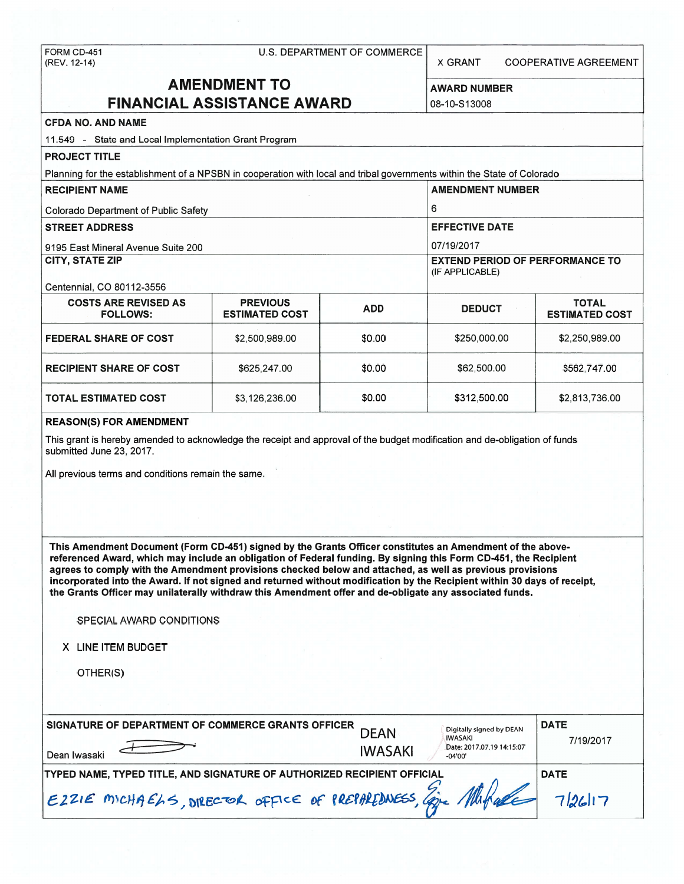### FORM CD-451 U.S. DEPARTMENT OF COMMERCE

(REV. 12-14) X GRANT COOPERATIVE AGREEMENT

# **AMENDMENT TO** AWARD NUMBER **FINANCIAL ASSISTANCE AWARD 108-10-S13008**

# **CFDA NO. AND NAME**

11 .549 - State and Local Implementation Grant Program **PROJECT TITLE**  Planning for the establishment of a NPSBN in cooperation with local and tribal governments within the State of Colorado **RECIPIENT NAME** AMENDMENT NUMBER **AMENDMENT NUMBER** Colorado Department of Public Safety **6** 6 **STREET ADDRESS EXECUTE DATE IN A SERVICE DATE IN A SERVICE DATE** 9195 East Mineral Avenue Suite 200 07/19/2017 **CITY, STATE ZIP** EXTEND PERIOD OF PERFORMANCE TO (IF APPLICABLE) Centennial, CO 80112-3556 **COSTS ARE REVISED AS PREVIOUS ADD DEDUCT TOTAL FOLLOWS: ESTIMATED COST ESTIMATED COST FEDERAL SHARE OF COST**  $$2,500,989.00$  $$32,500,989.00$  $$2,250,989.00$ **RECIPIENT SHARE OF COST**  $\begin{array}{|c|c|c|c|c|c|c|c|c|} \hline \text{$625,247.00} & \text{$50.00} & \text{$562,500.00} & \text{$562,747.00} \hline \end{array}$ **TOTAL ESTIMATED COST**  $$3,126,236.00$  $$30.00$  $$312,500.00$  $$2,813,736.00$ 

#### **REASON(S) FOR AMENDMENT**

This grant is hereby amended to acknowledge the receipt and approval of the budget modification and de-obligation of funds submitted June 23, 2017.

All previous terms and conditions remain the same.

**This Amendment Document (Form CD-451) signed by the Grants Officer constitutes an Amendment of the abovereferenced Award, which may include an obligation of Federal funding. By signing this Form CD-451, the Recipient agrees to comply with the Amendment provisions checked below and attached, as well as previous provisions incorporated into the Award. If not signed and returned without modification by the Recipient within 30 days of receipt, the Grants Officer may unilaterally withdraw this Amendment offer and de-obligate any associated funds.** 

## SPECIAL AWARD CONDITIONS

**X** LINE ITEM BUDGET

OTHER(S)

| SIGNATURE OF DEPARTMENT OF COMMERCE GRANTS OFFICER<br>Dean Iwasaki      | <b>DEAN</b><br><b>IWASAKI</b> | Digitally signed by DEAN<br>IWASAKI<br>Date: 2017.07.19 14:15:07<br>$-04'00'$ | <b>DATE</b><br>7/19/2017 |
|-------------------------------------------------------------------------|-------------------------------|-------------------------------------------------------------------------------|--------------------------|
| TYPED NAME, TYPED TITLE, AND SIGNATURE OF AUTHORIZED RECIPIENT OFFICIAL | <b>DATE</b>                   |                                                                               |                          |
| E22IE MICHAELS, DIRECTOR OFFICE OF PREPAREDNESS, Eine Markare 7/26/17   |                               |                                                                               |                          |